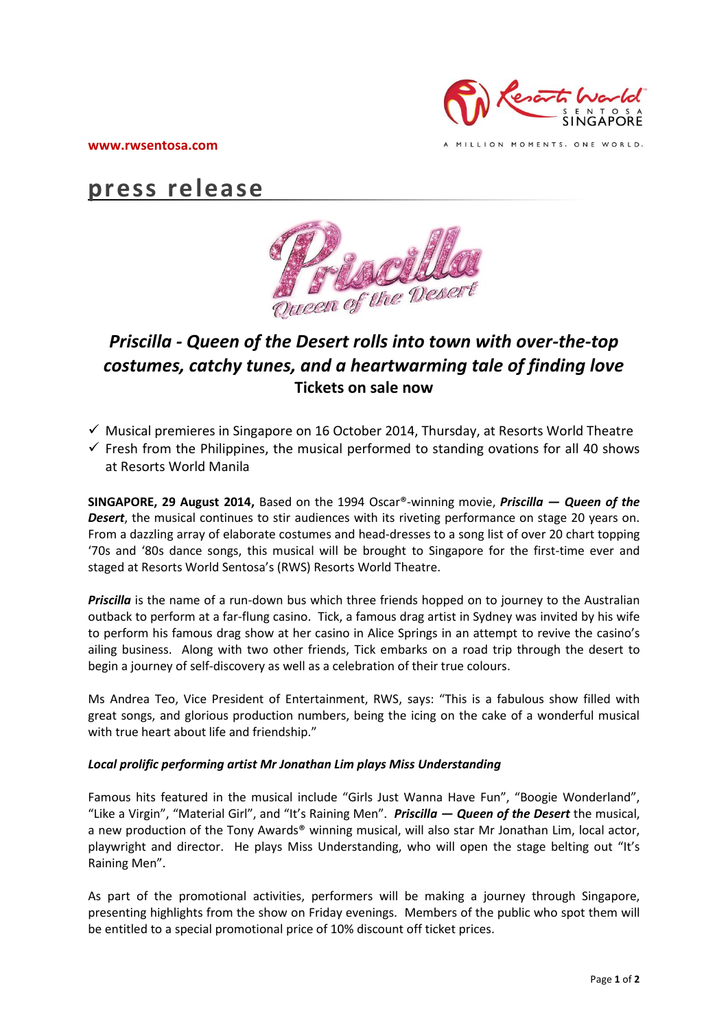

**www.rwsentosa.com**

MILLION MOMENTS. ONE WORLD.

# **press release**



## *Priscilla - Queen of the Desert rolls into town with over-the-top costumes, catchy tunes, and a heartwarming tale of finding love* **Tickets on sale now**

- $\checkmark$  Musical premieres in Singapore on 16 October 2014, Thursday, at Resorts World Theatre
- $\checkmark$  Fresh from the Philippines, the musical performed to standing ovations for all 40 shows at Resorts World Manila

**SINGAPORE, 29 August 2014,** Based on the 1994 Oscar®-winning movie, *Priscilla — Queen of the Desert*, the musical continues to stir audiences with its riveting performance on stage 20 years on. From a dazzling array of elaborate costumes and head-dresses to a song list of over 20 chart topping '70s and '80s dance songs, this musical will be brought to Singapore for the first-time ever and staged at Resorts World Sentosa's (RWS) Resorts World Theatre.

*Priscilla* is the name of a run-down bus which three friends hopped on to journey to the Australian outback to perform at a far-flung casino. Tick, a famous drag artist in Sydney was invited by his wife to perform his famous drag show at her casino in Alice Springs in an attempt to revive the casino's ailing business. Along with two other friends, Tick embarks on a road trip through the desert to begin a journey of self-discovery as well as a celebration of their true colours.

Ms Andrea Teo, Vice President of Entertainment, RWS, says: "This is a fabulous show filled with great songs, and glorious production numbers, being the icing on the cake of a wonderful musical with true heart about life and friendship."

### *Local prolific performing artist Mr Jonathan Lim plays Miss Understanding*

Famous hits featured in the musical include "Girls Just Wanna Have Fun", "Boogie Wonderland", "Like a Virgin", "Material Girl", and "It's Raining Men". *Priscilla — Queen of the Desert* the musical, a new production of the Tony Awards<sup>®</sup> winning musical, will also star Mr Jonathan Lim, local actor, playwright and director. He plays Miss Understanding, who will open the stage belting out "It's Raining Men".

As part of the promotional activities, performers will be making a journey through Singapore, presenting highlights from the show on Friday evenings. Members of the public who spot them will be entitled to a special promotional price of 10% discount off ticket prices.